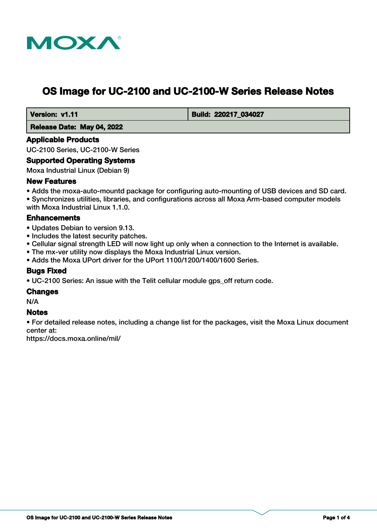

# **OS Image for UC-2100 and UC-2100-W Series Release Notes**

 **Version: v1.11 Build: 220217 034027** 

 **Release Date: May 04, 2022**

#### **Applicable Products**

UC-2100 Series, UC-2100-W Series

#### **Supported Operating Systems**

Moxa Industrial Linux (Debian 9)

#### **New Features**

• Adds the moxa-auto-mountd package for configuring auto-mounting of USB devices and SD card. • Synchronizes utilities, libraries, and configurations across all Moxa Arm-based computer models with Moxa Industrial Linux 1.1.0.

## **Enhancements**

- Updates Debian to version 9.13.
- Includes the latest security patches.
- Cellular signal strength LED will now light up only when a connection to the Internet is available.
- The mx-ver utility now displays the Moxa Industrial Linux version.
- Adds the Moxa UPort driver for the UPort 1100/1200/1400/1600 Series.

## **Bugs Fixed**

• UC-2100 Series: An issue with the Telit cellular module gps\_off return code.

#### **Changes**

N/A

## **Notes**

• For detailed release notes, including a change list for the packages, visit the Moxa Linux document center at:

https://docs.moxa.online/mil/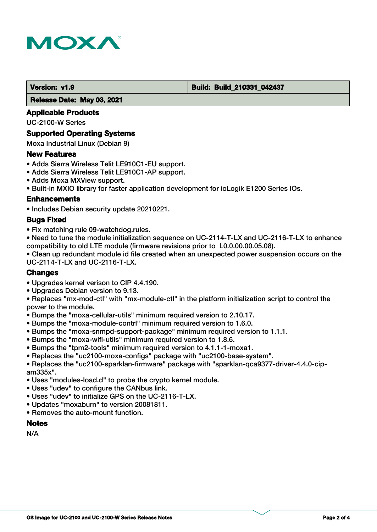

#### **Version: v1.9 Build: Build: Build: 210331\_042437**

 **Release Date: May 03, 2021**

#### **Applicable Products**

UC-2100-W Series

#### **Supported Operating Systems**

Moxa Industrial Linux (Debian 9)

#### **New Features**

- Adds Sierra Wireless Telit LE910C1-EU support.
- Adds Sierra Wireless Telit LE910C1-AP support.
- Adds Moxa MXView support.
- Built-in MXIO library for faster application development for ioLogik E1200 Series IOs.

#### **Enhancements**

• Includes Debian security update 20210221.

#### **Bugs Fixed**

- Fix matching rule 09-watchdog.rules.
- Need to tune the module initialization sequence on UC-2114-T-LX and UC-2116-T-LX to enhance compatibility to old LTE module (firmware revisions prior to L0.0.00.00.05.08).

• Clean up redundant module id file created when an unexpected power suspension occurs on the UC-2114-T-LX and UC-2116-T-LX.

## **Changes**

- Upgrades kernel verison to CIP 4.4.190.
- Upgrades Debian version to 9.13.

• Replaces "mx-mod-ctl" with "mx-module-ctl" in the platform initialization script to control the power to the module.

- Bumps the "moxa-cellular-utils" minimum required version to 2.10.17.
- Bumps the "moxa-module-contrl" minimum required version to 1.6.0.
- Bumps the "moxa-snmpd-support-package" minimum required version to 1.1.1.
- Bumps the "moxa-wifi-utils" minimum required version to 1.8.6.
- Bumps the "tpm2-tools" minimum required version to 4.1.1-1-moxa1.
- Replaces the "uc2100-moxa-configs" package with "uc2100-base-system".

• Replaces the "uc2100-sparklan-firmware" package with "sparklan-qca9377-driver-4.4.0-cipam335x".

- Uses "modules-load.d" to probe the crypto kernel module.
- Uses "udev" to configure the CANbus link.
- Uses "udev" to initialize GPS on the UC-2116-T-LX.
- Updates "moxaburn" to version 20081811.
- Removes the auto-mount function.

#### **Notes**

N/A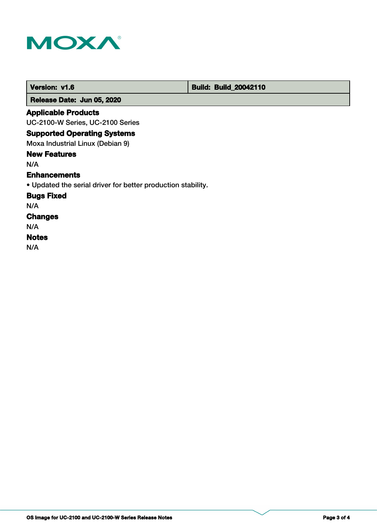

 **Version: v1.6 Build: Build: Build: 20042110** 

 **Release Date: Jun 05, 2020**

## **Applicable Products**

UC-2100-W Series, UC-2100 Series

## **Supported Operating Systems**

Moxa Industrial Linux (Debian 9)

## **New Features**

N/A

#### **Enhancements**

• Updated the serial driver for better production stability.

## **Bugs Fixed**

N/A

## **Changes**

N/A

## **Notes**

N/A